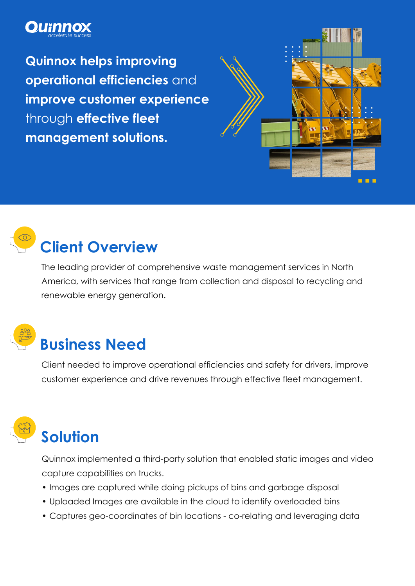# **OU**Thno

**Quinnox helps improving operational efficiencies** and **improve customer experience**  through **effective fleet management solutions.**



# **Client Overview**

The leading provider of comprehensive waste management services in North America, with services that range from collection and disposal to recycling and renewable energy generation.



## **Business Need**

Client needed to improve operational efficiencies and safety for drivers, improve customer experience and drive revenues through effective fleet management.



### **Solution**

Quinnox implemented a third-party solution that enabled static images and video capture capabilities on trucks.

- Images are captured while doing pickups of bins and garbage disposal
- Uploaded Images are available in the cloud to identify overloaded bins
- Captures geo-coordinates of bin locations co-relating and leveraging data